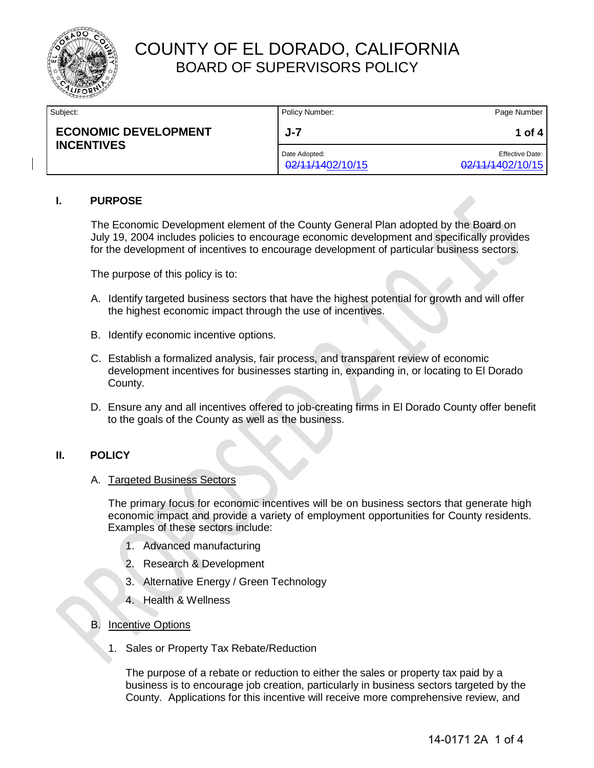

| Subject:                                         | Policy Number:                    | Page Number                                |
|--------------------------------------------------|-----------------------------------|--------------------------------------------|
| <b>ECONOMIC DEVELOPMENT</b><br><b>INCENTIVES</b> | J-7                               | 1 of 4                                     |
|                                                  | Date Adopted:<br>02/11/1402/10/15 | <b>Effective Date:</b><br>02/11/1402/10/15 |

#### **I. PURPOSE**

The Economic Development element of the County General Plan adopted by the Board on July 19, 2004 includes policies to encourage economic development and specifically provides for the development of incentives to encourage development of particular business sectors.

The purpose of this policy is to:

- A. Identify targeted business sectors that have the highest potential for growth and will offer the highest economic impact through the use of incentives.
- B. Identify economic incentive options.
- C. Establish a formalized analysis, fair process, and transparent review of economic development incentives for businesses starting in, expanding in, or locating to El Dorado County.
- D. Ensure any and all incentives offered to job-creating firms in El Dorado County offer benefit to the goals of the County as well as the business.

### **II. POLICY**

#### A. Targeted Business Sectors

The primary focus for economic incentives will be on business sectors that generate high economic impact and provide a variety of employment opportunities for County residents. Examples of these sectors include:

- 1. Advanced manufacturing
- 2. Research & Development
- 3. Alternative Energy / Green Technology
- 4. Health & Wellness
- B. Incentive Options
	- 1. Sales or Property Tax Rebate/Reduction

The purpose of a rebate or reduction to either the sales or property tax paid by a business is to encourage job creation, particularly in business sectors targeted by the County. Applications for this incentive will receive more comprehensive review, and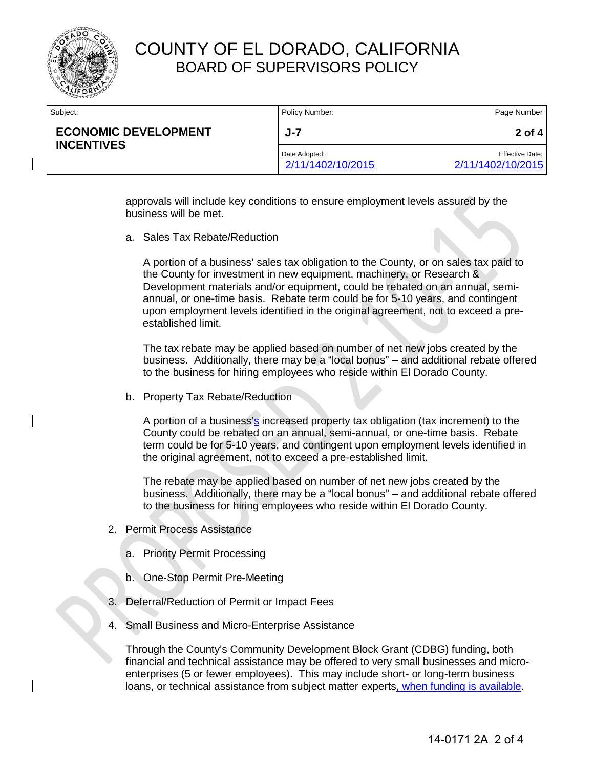

| Subject:                                         | Policy Number:                     | Page Number                                 |
|--------------------------------------------------|------------------------------------|---------------------------------------------|
| <b>ECONOMIC DEVELOPMENT</b><br><b>INCENTIVES</b> | J-7                                | 2 of 4                                      |
|                                                  | Date Adopted:<br>2/11/1402/10/2015 | <b>Effective Date:</b><br>2/11/1402/10/2015 |

approvals will include key conditions to ensure employment levels assured by the business will be met.

a. Sales Tax Rebate/Reduction

A portion of a business' sales tax obligation to the County, or on sales tax paid to the County for investment in new equipment, machinery, or Research & Development materials and/or equipment, could be rebated on an annual, semiannual, or one-time basis. Rebate term could be for 5-10 years, and contingent upon employment levels identified in the original agreement, not to exceed a preestablished limit.

The tax rebate may be applied based on number of net new jobs created by the business. Additionally, there may be a "local bonus" – and additional rebate offered to the business for hiring employees who reside within El Dorado County.

b. Property Tax Rebate/Reduction

A portion of a business's increased property tax obligation (tax increment) to the County could be rebated on an annual, semi-annual, or one-time basis. Rebate term could be for 5-10 years, and contingent upon employment levels identified in the original agreement, not to exceed a pre-established limit.

The rebate may be applied based on number of net new jobs created by the business. Additionally, there may be a "local bonus" – and additional rebate offered to the business for hiring employees who reside within El Dorado County.

- 2. Permit Process Assistance
	- a. Priority Permit Processing
	- b. One-Stop Permit Pre-Meeting
- 3. Deferral/Reduction of Permit or Impact Fees
- 4. Small Business and Micro-Enterprise Assistance

Through the County's Community Development Block Grant (CDBG) funding, both financial and technical assistance may be offered to very small businesses and microenterprises (5 or fewer employees). This may include short- or long-term business loans, or technical assistance from subject matter experts, when funding is available.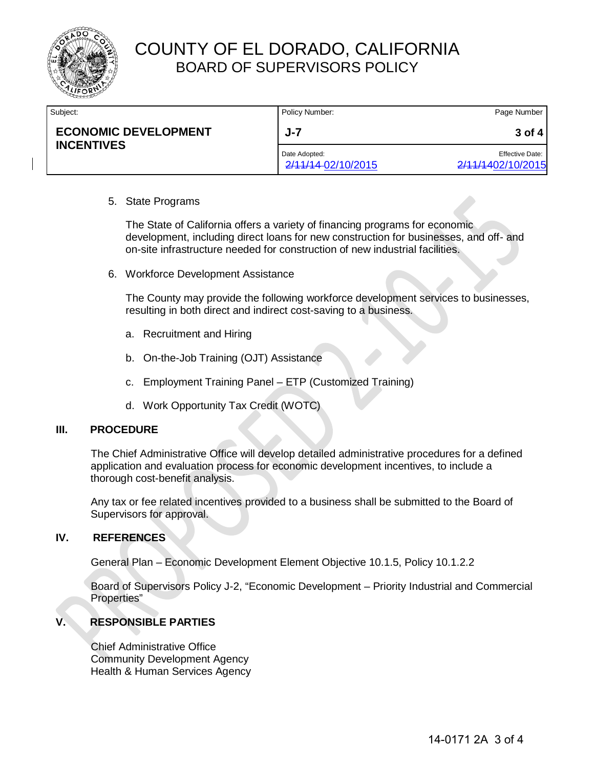

| Subject:                                         | Policy Number:                      | Page Number                                 |
|--------------------------------------------------|-------------------------------------|---------------------------------------------|
| <b>ECONOMIC DEVELOPMENT</b><br><b>INCENTIVES</b> | J-7                                 | $3$ of 4                                    |
|                                                  | Date Adopted:<br>2/11/14-02/10/2015 | <b>Effective Date:</b><br>2/11/1402/10/2015 |

#### 5. State Programs

The State of California offers a variety of financing programs for economic development, including direct loans for new construction for businesses, and off- and on-site infrastructure needed for construction of new industrial facilities.

6. Workforce Development Assistance

The County may provide the following workforce development services to businesses, resulting in both direct and indirect cost-saving to a business.

- a. Recruitment and Hiring
- b. On-the-Job Training (OJT) Assistance
- c. Employment Training Panel ETP (Customized Training)
- d. Work Opportunity Tax Credit (WOTC)

#### **III. PROCEDURE**

The Chief Administrative Office will develop detailed administrative procedures for a defined application and evaluation process for economic development incentives, to include a thorough cost-benefit analysis.

Any tax or fee related incentives provided to a business shall be submitted to the Board of Supervisors for approval.

#### **IV. REFERENCES**

General Plan – Economic Development Element Objective 10.1.5, Policy 10.1.2.2

Board of Supervisors Policy J-2, "Economic Development – Priority Industrial and Commercial Properties"

### **V. RESPONSIBLE PARTIES**

Chief Administrative Office Community Development Agency Health & Human Services Agency